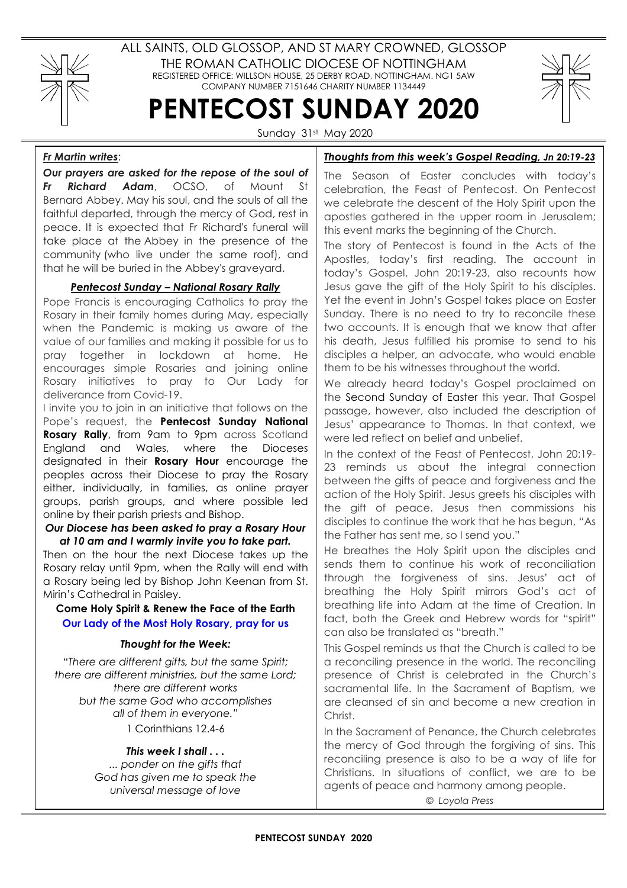

ALL SAINTS, OLD GLOSSOP, AND ST MARY CROWNED, GLOSSOP THE ROMAN CATHOLIC DIOCESE OF NOTTINGHAM REGISTERED OFFICE: WILLSON HOUSE, 25 DERBY ROAD, NOTTINGHAM. NG1 5AW COMPANY NUMBER 7151646 CHARITY NUMBER 1134449

PENTECOST SUNDAY 2020



Sunday 31st May 2020

# Fr Martin writes:

Our prayers are asked for the repose of the soul of Fr Richard Adam, OCSO, of Mount St Bernard Abbey. May his soul, and the souls of all the faithful departed, through the mercy of God, rest in peace. It is expected that Fr Richard's funeral will take place at the Abbey in the presence of the community (who live under the same roof), and that he will be buried in the Abbey's graveyard.

# Pentecost Sunday – National Rosary Rally

Pope Francis is encouraging Catholics to pray the Rosary in their family homes during May, especially when the Pandemic is making us aware of the value of our families and making it possible for us to pray together in lockdown at home. He encourages simple Rosaries and joining online Rosary initiatives to pray to Our Lady for deliverance from Covid-19.

I invite you to join in an initiative that follows on the Pope's request, the **Pentecost Sunday National** Rosary Rally, from 9am to 9pm across Scotland England and Wales, where the Dioceses designated in their **Rosary Hour** encourage the peoples across their Diocese to pray the Rosary either, individually, in families, as online prayer groups, parish groups, and where possible led online by their parish priests and Bishop.

### Our Diocese has been asked to pray a Rosary Hour at 10 am and I warmly invite you to take part.

Then on the hour the next Diocese takes up the Rosary relay until 9pm, when the Rally will end with a Rosary being led by Bishop John Keenan from St. Mirin's Cathedral in Paisley.

## Come Holy Spirit & Renew the Face of the Earth Our Lady of the Most Holy Rosary, pray for us

### Thought for the Week:

"There are different gifts, but the same Spirit; there are different ministries, but the same Lord; there are different works but the same God who accomplishes all of them in everyone."

1 Corinthians 12.4-6

## This week I shall . . .

... ponder on the gifts that God has given me to speak the universal message of love

# Thoughts from this week's Gospel Reading, Jn 20:19-23

The Season of Easter concludes with today's celebration, the Feast of Pentecost. On Pentecost we celebrate the descent of the Holy Spirit upon the apostles gathered in the upper room in Jerusalem; this event marks the beginning of the Church.

The story of Pentecost is found in the Acts of the Apostles, today's first reading. The account in today's Gospel, John 20:19-23, also recounts how Jesus gave the gift of the Holy Spirit to his disciples. Yet the event in John's Gospel takes place on Easter Sunday. There is no need to try to reconcile these two accounts. It is enough that we know that after his death, Jesus fulfilled his promise to send to his disciples a helper, an advocate, who would enable them to be his witnesses throughout the world.

We already heard today's Gospel proclaimed on the Second Sunday of Easter this year. That Gospel passage, however, also included the description of Jesus' appearance to Thomas. In that context, we were led reflect on belief and unbelief.

In the context of the Feast of Pentecost, John 20:19- 23 reminds us about the integral connection between the gifts of peace and forgiveness and the action of the Holy Spirit. Jesus greets his disciples with the gift of peace. Jesus then commissions his disciples to continue the work that he has begun, "As the Father has sent me, so I send you."

He breathes the Holy Spirit upon the disciples and sends them to continue his work of reconciliation through the forgiveness of sins. Jesus' act of breathing the Holy Spirit mirrors God's act of breathing life into Adam at the time of Creation. In fact, both the Greek and Hebrew words for "spirit" can also be translated as "breath."

This Gospel reminds us that the Church is called to be a reconciling presence in the world. The reconciling presence of Christ is celebrated in the Church's sacramental life. In the Sacrament of Baptism, we are cleansed of sin and become a new creation in Christ.

In the Sacrament of Penance, the Church celebrates the mercy of God through the forgiving of sins. This reconciling presence is also to be a way of life for Christians. In situations of conflict, we are to be agents of peace and harmony among people.

© Loyola Press